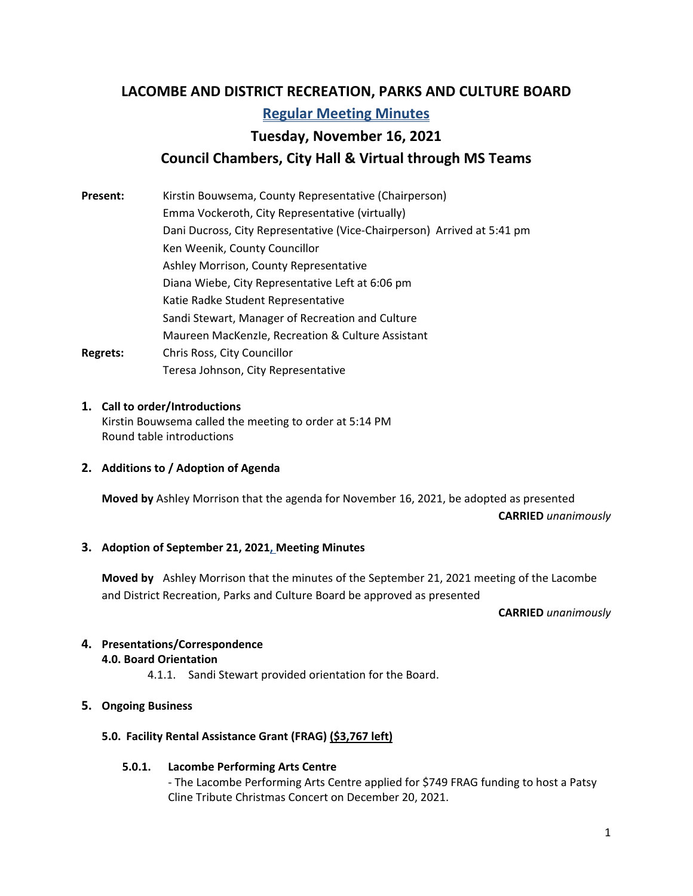# **LACOMBE AND DISTRICT RECREATION, PARKS AND CULTURE BOARD Regular Meeting Minutes Tuesday, November 16, 2021 Council Chambers, City Hall & Virtual through MS Teams**

# Present: Kirstin Bouwsema, County Representative (Chairperson) Emma Vockeroth, City Representative (virtually) Dani Ducross, City Representative (Vice‐Chairperson) Arrived at 5:41 pm Ken Weenik, County Councillor Ashley Morrison, County Representative Diana Wiebe, City Representative Left at 6:06 pm Katie Radke Student Representative Sandi Stewart, Manager of Recreation and Culture Maureen MacKenzIe, Recreation & Culture Assistant **Regrets:**  Chris Ross, City Councillor Teresa Johnson, City Representative

#### **1. Call to order/Introductions**

Kirstin Bouwsema called the meeting to order at 5:14 PM Round table introductions

#### **2. Additions to / Adoption of Agenda**

**Moved by** Ashley Morrison that the agenda for November 16, 2021, be adopted as presented **CARRIED** *unanimously* 

#### **3. Adoption of September 21, 2021, Meeting Minutes**

**Moved by**  Ashley Morrison that the minutes of the September 21, 2021 meeting of the Lacombe and District Recreation, Parks and Culture Board be approved as presented

**CARRIED** *unanimously* 

# **4. Presentations/Correspondence**

#### **4.0. Board Orientation**

4.1.1. Sandi Stewart provided orientation for the Board.

#### **5. Ongoing Business**

## **5.0. Facility Rental Assistance Grant (FRAG) (\$3,767 left)**

#### **5.0.1. Lacombe Performing Arts Centre**

‐ The Lacombe Performing Arts Centre applied for \$749 FRAG funding to host a Patsy Cline Tribute Christmas Concert on December 20, 2021.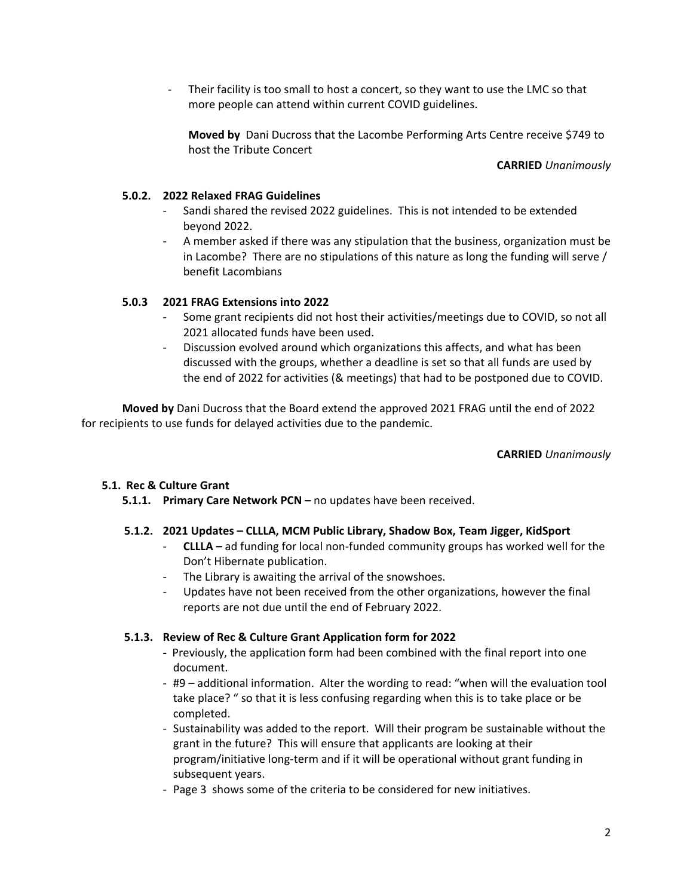‐ Their facility is too small to host a concert, so they want to use the LMC so that more people can attend within current COVID guidelines.

**Moved by** Dani Ducross that the Lacombe Performing Arts Centre receive \$749 to host the Tribute Concert

#### **CARRIED** *Unanimously*

#### **5.0.2. 2022 Relaxed FRAG Guidelines**

- ‐ Sandi shared the revised 2022 guidelines. This is not intended to be extended beyond 2022.
- ‐ A member asked if there was any stipulation that the business, organization must be in Lacombe? There are no stipulations of this nature as long the funding will serve / benefit Lacombians

#### **5.0.3 2021 FRAG Extensions into 2022**

- ‐ Some grant recipients did not host their activities/meetings due to COVID, so not all 2021 allocated funds have been used.
- Discussion evolved around which organizations this affects, and what has been discussed with the groups, whether a deadline is set so that all funds are used by the end of 2022 for activities (& meetings) that had to be postponed due to COVID.

**Moved by** Dani Ducross that the Board extend the approved 2021 FRAG until the end of 2022 for recipients to use funds for delayed activities due to the pandemic.

#### **CARRIED** *Unanimously*

#### **5.1. Rec & Culture Grant**

**5.1.1. Primary Care Network PCN –** no updates have been received.

#### **5.1.2. 2021 Updates – CLLLA, MCM Public Library, Shadow Box, Team Jigger, KidSport**

- ‐ **CLLLA** ad funding for local non‐funded community groups has worked well for the Don't Hibernate publication.
- ‐ The Library is awaiting the arrival of the snowshoes.
- ‐ Updates have not been received from the other organizations, however the final reports are not due until the end of February 2022.

#### **5.1.3. Review of Rec & Culture Grant Application form for 2022**

- **‐**  Previously, the application form had been combined with the final report into one document.
- ‐ #9 additional information. Alter the wording to read: "when will the evaluation tool take place? " so that it is less confusing regarding when this is to take place or be completed.
- ‐ Sustainability was added to the report. Will their program be sustainable without the grant in the future? This will ensure that applicants are looking at their program/initiative long-term and if it will be operational without grant funding in subsequent years.
- ‐ Page 3 shows some of the criteria to be considered for new initiatives.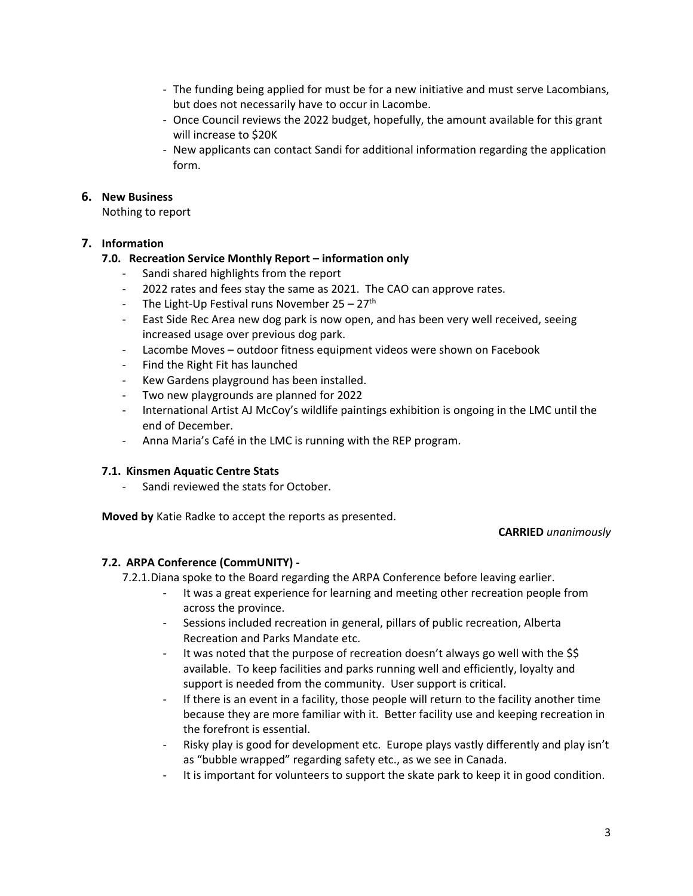- ‐ The funding being applied for must be for a new initiative and must serve Lacombians, but does not necessarily have to occur in Lacombe.
- ‐ Once Council reviews the 2022 budget, hopefully, the amount available for this grant will increase to \$20K
- ‐ New applicants can contact Sandi for additional information regarding the application form.

#### **6. New Business**

Nothing to report

## **7. Information**

#### **7.0. Recreation Service Monthly Report – information only**

- Sandi shared highlights from the report
- ‐ 2022 rates and fees stay the same as 2021. The CAO can approve rates.
- The Light-Up Festival runs November  $25 27$ <sup>th</sup>
- ‐ East Side Rec Area new dog park is now open, and has been very well received, seeing increased usage over previous dog park.
- ‐ Lacombe Moves outdoor fitness equipment videos were shown on Facebook
- ‐ Find the Right Fit has launched
- ‐ Kew Gardens playground has been installed.
- ‐ Two new playgrounds are planned for 2022
- ‐ International Artist AJ McCoy's wildlife paintings exhibition is ongoing in the LMC until the end of December.
- ‐ Anna Maria's Café in the LMC is running with the REP program.

#### **7.1. Kinsmen Aquatic Centre Stats**

Sandi reviewed the stats for October.

**Moved by** Katie Radke to accept the reports as presented.

#### **CARRIED** *unanimously*

#### **7.2. ARPA Conference (CommUNITY) ‐**

7.2.1.Diana spoke to the Board regarding the ARPA Conference before leaving earlier.

- ‐ It was a great experience for learning and meeting other recreation people from across the province.
- ‐ Sessions included recreation in general, pillars of public recreation, Alberta Recreation and Parks Mandate etc.
- It was noted that the purpose of recreation doesn't always go well with the \$\$ available. To keep facilities and parks running well and efficiently, loyalty and support is needed from the community. User support is critical.
- ‐ If there is an event in a facility, those people will return to the facility another time because they are more familiar with it. Better facility use and keeping recreation in the forefront is essential.
- ‐ Risky play is good for development etc. Europe plays vastly differently and play isn't as "bubble wrapped" regarding safety etc., as we see in Canada.
- It is important for volunteers to support the skate park to keep it in good condition.